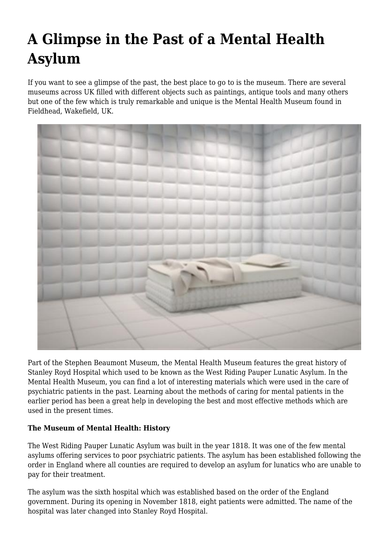# **A Glimpse in the Past of a Mental Health Asylum**

If you want to see a glimpse of the past, the best place to go to is the museum. There are several museums across UK filled with different objects such as paintings, antique tools and many others but one of the few which is truly remarkable and unique is the Mental Health Museum found in Fieldhead, Wakefield, UK.



Part of the Stephen Beaumont Museum, the Mental Health Museum features the great history of Stanley Royd Hospital which used to be known as the West Riding Pauper Lunatic Asylum. In the Mental Health Museum, you can find a lot of interesting materials which were used in the care of psychiatric patients in the past. Learning about the methods of caring for mental patients in the earlier period has been a great help in developing the best and most effective methods which are used in the present times.

## **The Museum of Mental Health: History**

The West Riding Pauper Lunatic Asylum was built in the year 1818. It was one of the few mental asylums offering services to poor psychiatric patients. The asylum has been established following the order in England where all counties are required to develop an asylum for lunatics who are unable to pay for their treatment.

The asylum was the sixth hospital which was established based on the order of the England government. During its opening in November 1818, eight patients were admitted. The name of the hospital was later changed into Stanley Royd Hospital.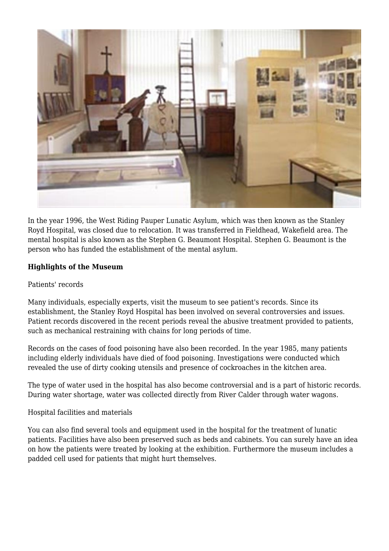

In the year 1996, the West Riding Pauper Lunatic Asylum, which was then known as the Stanley Royd Hospital, was closed due to relocation. It was transferred in Fieldhead, Wakefield area. The mental hospital is also known as the Stephen G. Beaumont Hospital. Stephen G. Beaumont is the person who has funded the establishment of the mental asylum.

## **Highlights of the Museum**

#### Patients' records

Many individuals, especially experts, visit the museum to see patient's records. Since its establishment, the Stanley Royd Hospital has been involved on several controversies and issues. Patient records discovered in the recent periods reveal the abusive treatment provided to patients, such as mechanical restraining with chains for long periods of time.

Records on the cases of food poisoning have also been recorded. In the year 1985, many patients including elderly individuals have died of food poisoning. Investigations were conducted which revealed the use of dirty cooking utensils and presence of cockroaches in the kitchen area.

The type of water used in the hospital has also become controversial and is a part of historic records. During water shortage, water was collected directly from River Calder through water wagons.

Hospital facilities and materials

You can also find several tools and equipment used in the hospital for the treatment of lunatic patients. Facilities have also been preserved such as beds and cabinets. You can surely have an idea on how the patients were treated by looking at the exhibition. Furthermore the museum includes a padded cell used for patients that might hurt themselves.